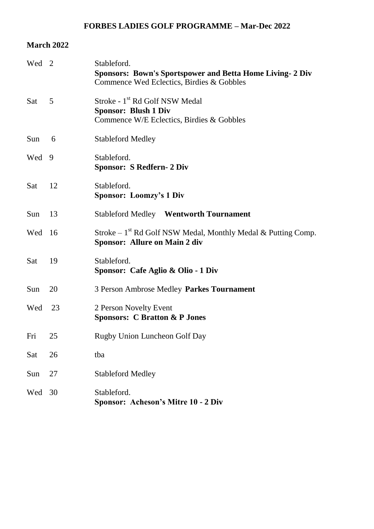### **FORBES LADIES GOLF PROGRAMME – Mar-Dec 2022**

### **March 2022**

| Wed 2 |    | Stableford.<br><b>Sponsors: Bown's Sportspower and Betta Home Living- 2 Div</b><br>Commence Wed Eclectics, Birdies & Gobbles |
|-------|----|------------------------------------------------------------------------------------------------------------------------------|
| Sat   | 5  | Stroke - 1 <sup>st</sup> Rd Golf NSW Medal<br><b>Sponsor: Blush 1 Div</b><br>Commence W/E Eclectics, Birdies & Gobbles       |
| Sun   | 6  | <b>Stableford Medley</b>                                                                                                     |
| Wed   | 9  | Stableford.<br><b>Sponsor: S Redfern- 2 Div</b>                                                                              |
| Sat   | 12 | Stableford.<br><b>Sponsor: Loomzy's 1 Div</b>                                                                                |
| Sun   | 13 | <b>Stableford Medley</b> Wentworth Tournament                                                                                |
| Wed   | 16 | Stroke – $1st$ Rd Golf NSW Medal, Monthly Medal & Putting Comp.<br><b>Sponsor: Allure on Main 2 div</b>                      |
| Sat   | 19 | Stableford.<br>Sponsor: Cafe Aglio & Olio - 1 Div                                                                            |
| Sun   | 20 | 3 Person Ambrose Medley Parkes Tournament                                                                                    |
| Wed   | 23 | 2 Person Novelty Event<br><b>Sponsors: C Bratton &amp; P Jones</b>                                                           |
| Fri   | 25 | Rugby Union Luncheon Golf Day                                                                                                |
| Sat   | 26 | tba                                                                                                                          |
| Sun   | 27 | <b>Stableford Medley</b>                                                                                                     |
| Wed   | 30 | Stableford.<br>Sponsor: Acheson's Mitre 10 - 2 Div                                                                           |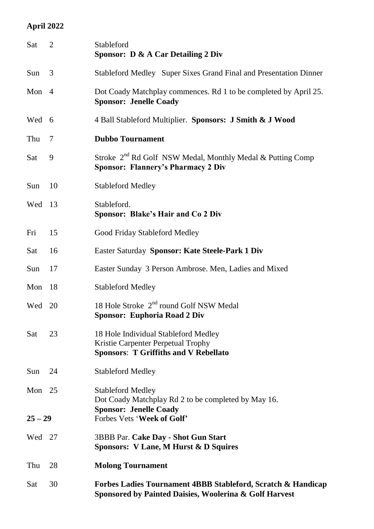# **April 2022**

| Sat       | 2  | Stableford<br><b>Sponsor: D &amp; A Car Detailing 2 Div</b>                                                                       |
|-----------|----|-----------------------------------------------------------------------------------------------------------------------------------|
| Sun       | 3  | Stableford Medley Super Sixes Grand Final and Presentation Dinner                                                                 |
| Mon 4     |    | Dot Coady Matchplay commences. Rd 1 to be completed by April 25.<br><b>Sponsor: Jenelle Coady</b>                                 |
| Wed 6     |    | 4 Ball Stableford Multiplier. Sponsors: J Smith & J Wood                                                                          |
| Thu       | 7  | <b>Dubbo Tournament</b>                                                                                                           |
| Sat       | 9  | Stroke 2 <sup>nd</sup> Rd Golf NSW Medal, Monthly Medal & Putting Comp<br><b>Sponsor: Flannery's Pharmacy 2 Div</b>               |
| Sun       | 10 | <b>Stableford Medley</b>                                                                                                          |
| Wed       | 13 | Stableford.<br><b>Sponsor: Blake's Hair and Co 2 Div</b>                                                                          |
| Fri       | 15 | Good Friday Stableford Medley                                                                                                     |
| Sat       | 16 | Easter Saturday Sponsor: Kate Steele-Park 1 Div                                                                                   |
| Sun       | 17 | Easter Sunday 3 Person Ambrose. Men, Ladies and Mixed                                                                             |
| Mon       | 18 | <b>Stableford Medley</b>                                                                                                          |
| Wed       | 20 | 18 Hole Stroke 2 <sup>nd</sup> round Golf NSW Medal<br><b>Sponsor: Euphoria Road 2 Div</b>                                        |
| Sat       | 23 | 18 Hole Individual Stableford Medley<br>Kristie Carpenter Perpetual Trophy<br><b>Sponsors: T Griffiths and V Rebellato</b>        |
| Sun       | 24 | <b>Stableford Medley</b>                                                                                                          |
| Mon 25    |    | <b>Stableford Medley</b><br>Dot Coady Matchplay Rd 2 to be completed by May 16.                                                   |
| $25 - 29$ |    | <b>Sponsor: Jenelle Coady</b><br>Forbes Vets 'Week of Golf'                                                                       |
| Wed 27    |    | <b>3BBB Par. Cake Day - Shot Gun Start</b><br><b>Sponsors: V Lane, M Hurst &amp; D Squires</b>                                    |
| Thu       | 28 | <b>Molong Tournament</b>                                                                                                          |
| Sat       | 30 | <b>Forbes Ladies Tournament 4BBB Stableford, Scratch &amp; Handicap</b><br>Sponsored by Painted Daisies, Woolerina & Golf Harvest |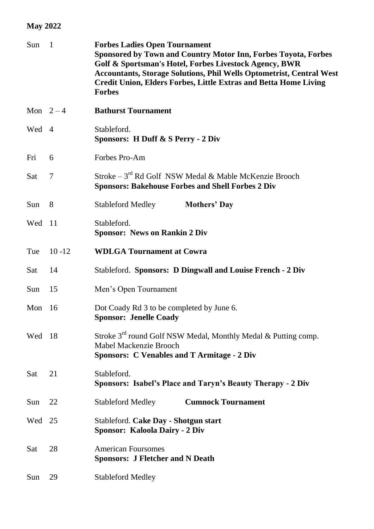# **May 2022**

| Sun | $\mathbf{1}$   | <b>Forbes Ladies Open Tournament</b><br><b>Sponsored by Town and Country Motor Inn, Forbes Toyota, Forbes</b><br>Golf & Sportsman's Hotel, Forbes Livestock Agency, BWR<br><b>Accountants, Storage Solutions, Phil Wells Optometrist, Central West</b><br><b>Credit Union, Elders Forbes, Little Extras and Betta Home Living</b><br><b>Forbes</b> |
|-----|----------------|----------------------------------------------------------------------------------------------------------------------------------------------------------------------------------------------------------------------------------------------------------------------------------------------------------------------------------------------------|
|     | Mon $2-4$      | <b>Bathurst Tournament</b>                                                                                                                                                                                                                                                                                                                         |
| Wed | $\overline{4}$ | Stableford.<br>Sponsors: H Duff & S Perry - 2 Div                                                                                                                                                                                                                                                                                                  |
| Fri | 6              | Forbes Pro-Am                                                                                                                                                                                                                                                                                                                                      |
| Sat | 7              | Stroke - 3 <sup>rd</sup> Rd Golf NSW Medal & Mable McKenzie Brooch<br><b>Sponsors: Bakehouse Forbes and Shell Forbes 2 Div</b>                                                                                                                                                                                                                     |
| Sun | 8              | <b>Stableford Medley</b><br><b>Mothers' Day</b>                                                                                                                                                                                                                                                                                                    |
| Wed | -11            | Stableford.<br><b>Sponsor: News on Rankin 2 Div</b>                                                                                                                                                                                                                                                                                                |
| Tue | $10 - 12$      | <b>WDLGA Tournament at Cowra</b>                                                                                                                                                                                                                                                                                                                   |
| Sat | 14             | Stableford. Sponsors: D Dingwall and Louise French - 2 Div                                                                                                                                                                                                                                                                                         |
| Sun | 15             | Men's Open Tournament                                                                                                                                                                                                                                                                                                                              |
| Mon | 16             | Dot Coady Rd 3 to be completed by June 6.<br><b>Sponsor: Jenelle Coady</b>                                                                                                                                                                                                                                                                         |
| Wed | -18            | Stroke 3 <sup>rd</sup> round Golf NSW Medal, Monthly Medal & Putting comp.<br>Mabel Mackenzie Brooch<br><b>Sponsors: C Venables and T Armitage - 2 Div</b>                                                                                                                                                                                         |
| Sat | 21             | Stableford.<br>Sponsors: Isabel's Place and Taryn's Beauty Therapy - 2 Div                                                                                                                                                                                                                                                                         |
| Sun | 22             | <b>Stableford Medley</b><br><b>Cumnock Tournament</b>                                                                                                                                                                                                                                                                                              |
| Wed | 25             | Stableford. Cake Day - Shotgun start<br><b>Sponsor: Kaloola Dairy - 2 Div</b>                                                                                                                                                                                                                                                                      |
| Sat | 28             | <b>American Foursomes</b><br><b>Sponsors: J Fletcher and N Death</b>                                                                                                                                                                                                                                                                               |
| Sun | 29             | <b>Stableford Medley</b>                                                                                                                                                                                                                                                                                                                           |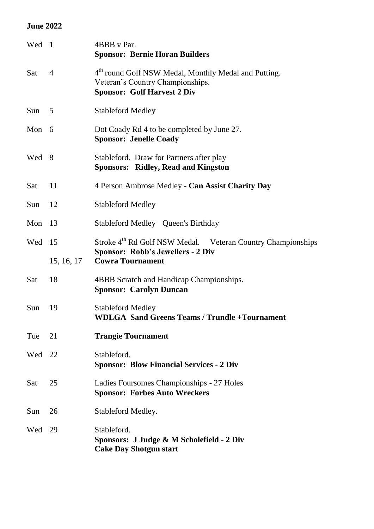### **June 2022**

| Wed 1   |                | 4BBB v Par.<br><b>Sponsor: Bernie Horan Builders</b>                                                                                       |
|---------|----------------|--------------------------------------------------------------------------------------------------------------------------------------------|
| Sat     | $\overline{4}$ | 4 <sup>th</sup> round Golf NSW Medal, Monthly Medal and Putting.<br>Veteran's Country Championships.<br><b>Sponsor: Golf Harvest 2 Div</b> |
| Sun $5$ |                | <b>Stableford Medley</b>                                                                                                                   |
| Mon 6   |                | Dot Coady Rd 4 to be completed by June 27.<br><b>Sponsor: Jenelle Coady</b>                                                                |
| Wed 8   |                | Stableford. Draw for Partners after play<br><b>Sponsors: Ridley, Read and Kingston</b>                                                     |
| Sat     | 11             | 4 Person Ambrose Medley - Can Assist Charity Day                                                                                           |
| Sun     | 12             | <b>Stableford Medley</b>                                                                                                                   |
| Mon     | 13             | Stableford Medley Queen's Birthday                                                                                                         |
| Wed     | 15             | Stroke 4 <sup>th</sup> Rd Golf NSW Medal. Veteran Country Championships<br><b>Sponsor: Robb's Jewellers - 2 Div</b>                        |
|         | 15, 16, 17     | <b>Cowra Tournament</b>                                                                                                                    |
| Sat     | 18             | 4BBB Scratch and Handicap Championships.<br><b>Sponsor: Carolyn Duncan</b>                                                                 |
| Sun     | 19             | <b>Stableford Medley</b><br><b>WDLGA</b> Sand Greens Teams / Trundle + Tournament                                                          |
| Tue     | 21             | <b>Trangie Tournament</b>                                                                                                                  |
| Wed 22  |                | Stableford.<br><b>Sponsor: Blow Financial Services - 2 Div</b>                                                                             |
| Sat     | 25             | Ladies Foursomes Championships - 27 Holes<br><b>Sponsor: Forbes Auto Wreckers</b>                                                          |
| Sun     | 26             | Stableford Medley.                                                                                                                         |
| Wed     | - 29           | Stableford.<br>Sponsors: J Judge & M Scholefield - 2 Div<br><b>Cake Day Shotgun start</b>                                                  |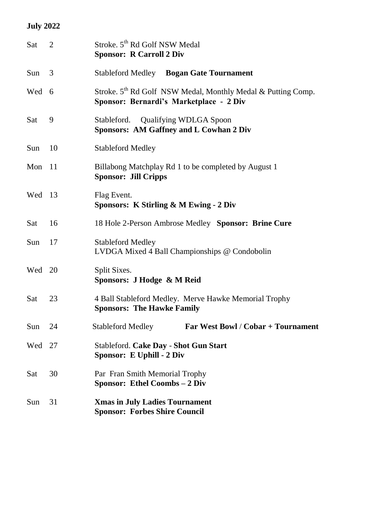# **July 2022**

| Sat    | 2  | Stroke. 5 <sup>th</sup> Rd Golf NSW Medal<br><b>Sponsor: R Carroll 2 Div</b>                                        |
|--------|----|---------------------------------------------------------------------------------------------------------------------|
| Sun    | 3  | <b>Stableford Medley</b> Bogan Gate Tournament                                                                      |
| Wed 6  |    | Stroke. 5 <sup>th</sup> Rd Golf NSW Medal, Monthly Medal & Putting Comp.<br>Sponsor: Bernardi's Marketplace - 2 Div |
| Sat    | 9  | Stableford. Qualifying WDLGA Spoon<br><b>Sponsors: AM Gaffney and L Cowhan 2 Div</b>                                |
| Sun    | 10 | <b>Stableford Medley</b>                                                                                            |
| Mon 11 |    | Billabong Matchplay Rd 1 to be completed by August 1<br><b>Sponsor: Jill Cripps</b>                                 |
| Wed    | 13 | Flag Event.<br>Sponsors: K Stirling & M Ewing - 2 Div                                                               |
| Sat    | 16 | 18 Hole 2-Person Ambrose Medley Sponsor: Brine Cure                                                                 |
| Sun    | 17 | <b>Stableford Medley</b><br>LVDGA Mixed 4 Ball Championships @ Condobolin                                           |
| Wed    | 20 | Split Sixes.<br>Sponsors: J Hodge & M Reid                                                                          |
| Sat    | 23 | 4 Ball Stableford Medley. Merve Hawke Memorial Trophy<br><b>Sponsors: The Hawke Family</b>                          |
| Sun    | 24 | <b>Stableford Medley</b><br>Far West Bowl / Cobar + Tournament                                                      |
| Wed    | 27 | Stableford. Cake Day - Shot Gun Start<br>Sponsor: E Uphill - 2 Div                                                  |
| Sat    | 30 | Par Fran Smith Memorial Trophy<br><b>Sponsor: Ethel Coombs – 2 Div</b>                                              |
| Sun    | 31 | <b>Xmas in July Ladies Tournament</b><br><b>Sponsor: Forbes Shire Council</b>                                       |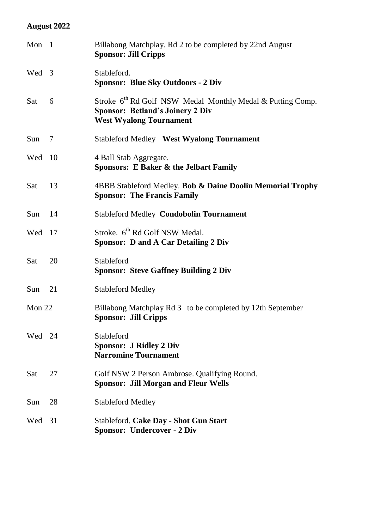# **August 2022**

| Mon 1  |    | Billabong Matchplay. Rd 2 to be completed by 22nd August<br><b>Sponsor: Jill Cripps</b>                                                             |
|--------|----|-----------------------------------------------------------------------------------------------------------------------------------------------------|
| Wed 3  |    | Stableford.<br><b>Sponsor: Blue Sky Outdoors - 2 Div</b>                                                                                            |
| Sat    | 6  | Stroke 6 <sup>th</sup> Rd Golf NSW Medal Monthly Medal & Putting Comp.<br><b>Sponsor: Betland's Joinery 2 Div</b><br><b>West Wyalong Tournament</b> |
| Sun    | 7  | <b>Stableford Medley West Wyalong Tournament</b>                                                                                                    |
| Wed    | 10 | 4 Ball Stab Aggregate.<br><b>Sponsors: E Baker &amp; the Jelbart Family</b>                                                                         |
| Sat    | 13 | 4BBB Stableford Medley. Bob & Daine Doolin Memorial Trophy<br><b>Sponsor: The Francis Family</b>                                                    |
| Sun    | 14 | <b>Stableford Medley Condobolin Tournament</b>                                                                                                      |
| Wed    | 17 | Stroke. 6 <sup>th</sup> Rd Golf NSW Medal.<br><b>Sponsor: D and A Car Detailing 2 Div</b>                                                           |
| Sat    | 20 | Stableford<br><b>Sponsor: Steve Gaffney Building 2 Div</b>                                                                                          |
| Sun    | 21 | <b>Stableford Medley</b>                                                                                                                            |
| Mon 22 |    | Billabong Matchplay Rd 3 to be completed by 12th September<br><b>Sponsor: Jill Cripps</b>                                                           |
| Wed 24 |    | Stableford<br><b>Sponsor: J Ridley 2 Div</b><br><b>Narromine Tournament</b>                                                                         |
| Sat    | 27 | Golf NSW 2 Person Ambrose. Qualifying Round.<br><b>Sponsor: Jill Morgan and Fleur Wells</b>                                                         |
| Sun    | 28 | <b>Stableford Medley</b>                                                                                                                            |
| Wed    | 31 | Stableford. Cake Day - Shot Gun Start<br><b>Sponsor: Undercover - 2 Div</b>                                                                         |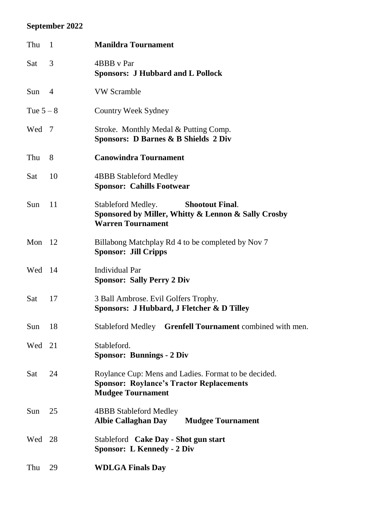# **September 2022**

| Thu       | $\overline{1}$ | <b>Manildra Tournament</b>                                                                                                          |
|-----------|----------------|-------------------------------------------------------------------------------------------------------------------------------------|
| Sat       | 3              | 4BBB v Par<br><b>Sponsors: J Hubbard and L Pollock</b>                                                                              |
| Sun       | $\overline{4}$ | <b>VW Scramble</b>                                                                                                                  |
| Tue $5-8$ |                | Country Week Sydney                                                                                                                 |
| Wed       | 7              | Stroke. Monthly Medal & Putting Comp.<br><b>Sponsors: D Barnes &amp; B Shields 2 Div</b>                                            |
| Thu       | 8              | <b>Canowindra Tournament</b>                                                                                                        |
| Sat       | 10             | <b>4BBB Stableford Medley</b><br><b>Sponsor: Cahills Footwear</b>                                                                   |
| Sun       | 11             | Stableford Medley.<br><b>Shootout Final.</b><br>Sponsored by Miller, Whitty & Lennon & Sally Crosby<br><b>Warren Tournament</b>     |
| Mon       | -12            | Billabong Matchplay Rd 4 to be completed by Nov 7<br><b>Sponsor: Jill Cripps</b>                                                    |
| Wed       | 14             | <b>Individual Par</b><br><b>Sponsor: Sally Perry 2 Div</b>                                                                          |
| Sat       | 17             | 3 Ball Ambrose. Evil Golfers Trophy.<br>Sponsors: J Hubbard, J Fletcher & D Tilley                                                  |
| Sun       | 18             | Stableford Medley Grenfell Tournament combined with men.                                                                            |
| Wed       | 21             | Stableford.<br><b>Sponsor: Bunnings - 2 Div</b>                                                                                     |
| Sat       | 24             | Roylance Cup: Mens and Ladies. Format to be decided.<br><b>Sponsor: Roylance's Tractor Replacements</b><br><b>Mudgee Tournament</b> |
| Sun       | 25             | <b>4BBB Stableford Medley</b><br><b>Albie Callaghan Day</b><br><b>Mudgee Tournament</b>                                             |
| Wed       | 28             | Stableford Cake Day - Shot gun start<br><b>Sponsor: L Kennedy - 2 Div</b>                                                           |
| Thu       | 29             | <b>WDLGA Finals Day</b>                                                                                                             |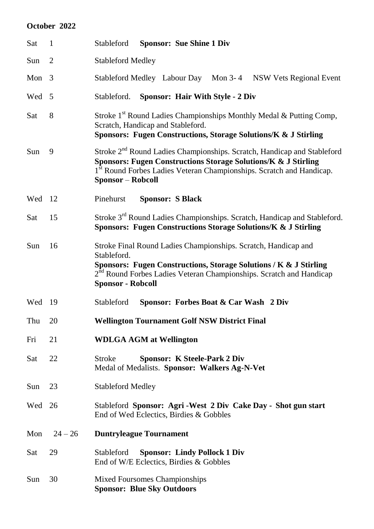### **October 2022**

| Sat    | $\mathbf{1}$   | <b>Sponsor: Sue Shine 1 Div</b><br>Stableford                                                                                                                                                                                                                                    |
|--------|----------------|----------------------------------------------------------------------------------------------------------------------------------------------------------------------------------------------------------------------------------------------------------------------------------|
| Sun    | $\overline{2}$ | <b>Stableford Medley</b>                                                                                                                                                                                                                                                         |
| Mon    | 3              | Stableford Medley Labour Day Mon 3-4<br><b>NSW Vets Regional Event</b>                                                                                                                                                                                                           |
| Wed    | -5             | <b>Sponsor: Hair With Style - 2 Div</b><br>Stableford.                                                                                                                                                                                                                           |
| Sat    | 8              | Stroke 1 <sup>st</sup> Round Ladies Championships Monthly Medal & Putting Comp,<br>Scratch, Handicap and Stableford.<br>Sponsors: Fugen Constructions, Storage Solutions/K & J Stirling                                                                                          |
| Sun    | 9              | Stroke 2 <sup>nd</sup> Round Ladies Championships. Scratch, Handicap and Stableford<br><b>Sponsors: Fugen Constructions Storage Solutions/K &amp; J Stirling</b><br>1 <sup>st</sup> Round Forbes Ladies Veteran Championships. Scratch and Handicap.<br><b>Sponsor – Robcoll</b> |
| Wed 12 |                | Pinehurst<br><b>Sponsor: S Black</b>                                                                                                                                                                                                                                             |
| Sat    | 15             | Stroke 3 <sup>rd</sup> Round Ladies Championships. Scratch, Handicap and Stableford.<br>Sponsors: Fugen Constructions Storage Solutions/K & J Stirling                                                                                                                           |
| Sun    | 16             | Stroke Final Round Ladies Championships. Scratch, Handicap and<br>Stableford.<br>Sponsors: Fugen Constructions, Storage Solutions / K & J Stirling<br>$2nd$ Round Forbes Ladies Veteran Championships. Scratch and Handicap<br><b>Sponsor - Robcoll</b>                          |
| Wed    | - 19           | Stableford<br>Sponsor: Forbes Boat & Car Wash 2 Div                                                                                                                                                                                                                              |
| Thu    | 20             | <b>Wellington Tournament Golf NSW District Final</b>                                                                                                                                                                                                                             |
| Fri    | 21             | <b>WDLGA AGM at Wellington</b>                                                                                                                                                                                                                                                   |
| Sat    | 22             | <b>Sponsor: K Steele-Park 2 Div</b><br><b>Stroke</b><br>Medal of Medalists. Sponsor: Walkers Ag-N-Vet                                                                                                                                                                            |
| Sun    | 23             | <b>Stableford Medley</b>                                                                                                                                                                                                                                                         |
| Wed    | 26             | Stableford Sponsor: Agri-West 2 Div Cake Day - Shot gun start<br>End of Wed Eclectics, Birdies & Gobbles                                                                                                                                                                         |
| Mon    | $24 - 26$      | <b>Duntryleague Tournament</b>                                                                                                                                                                                                                                                   |
| Sat    | 29             | Stableford<br><b>Sponsor: Lindy Pollock 1 Div</b><br>End of W/E Eclectics, Birdies & Gobbles                                                                                                                                                                                     |
| Sun    | 30             | Mixed Foursomes Championships<br><b>Sponsor: Blue Sky Outdoors</b>                                                                                                                                                                                                               |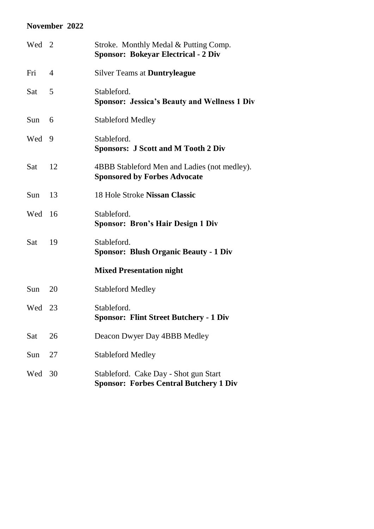### **November 2022**

| Wed 2 |    | Stroke. Monthly Medal & Putting Comp.<br><b>Sponsor: Bokeyar Electrical - 2 Div</b>    |
|-------|----|----------------------------------------------------------------------------------------|
| Fri   | 4  | <b>Silver Teams at Duntryleague</b>                                                    |
| Sat   | 5  | Stableford.<br><b>Sponsor: Jessica's Beauty and Wellness 1 Div</b>                     |
| Sun   | 6  | <b>Stableford Medley</b>                                                               |
| Wed   | 9  | Stableford.<br><b>Sponsors: J Scott and M Tooth 2 Div</b>                              |
| Sat   | 12 | 4BBB Stableford Men and Ladies (not medley).<br><b>Sponsored by Forbes Advocate</b>    |
| Sun   | 13 | 18 Hole Stroke Nissan Classic                                                          |
| Wed   | 16 | Stableford.<br><b>Sponsor: Bron's Hair Design 1 Div</b>                                |
| Sat   | 19 | Stableford.<br><b>Sponsor: Blush Organic Beauty - 1 Div</b>                            |
|       |    | <b>Mixed Presentation night</b>                                                        |
| Sun   | 20 | <b>Stableford Medley</b>                                                               |
| Wed   | 23 | Stableford.<br><b>Sponsor: Flint Street Butchery - 1 Div</b>                           |
| Sat   | 26 | Deacon Dwyer Day 4BBB Medley                                                           |
| Sun   | 27 | <b>Stableford Medley</b>                                                               |
| Wed   | 30 | Stableford. Cake Day - Shot gun Start<br><b>Sponsor: Forbes Central Butchery 1 Div</b> |